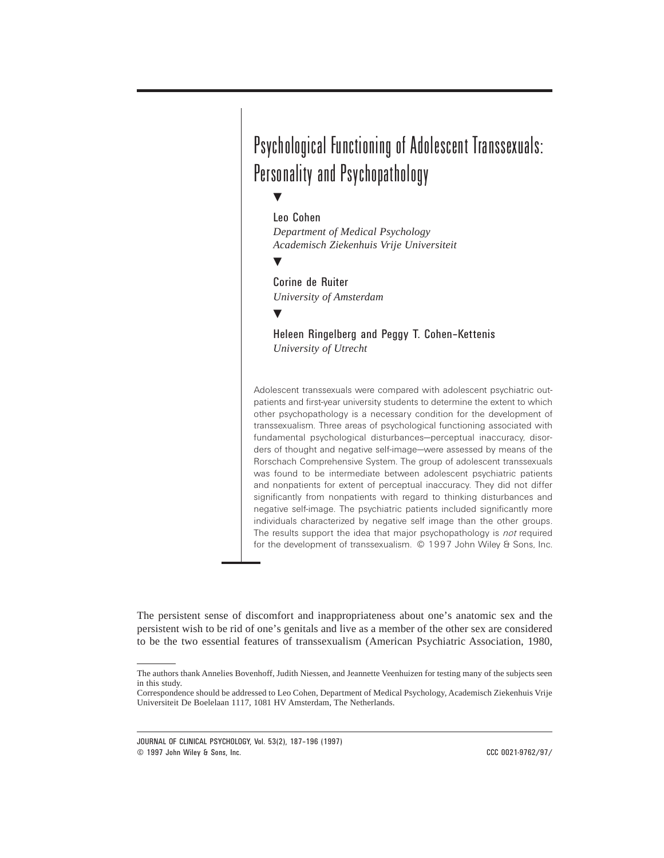# Psychological Functioning of Adolescent Transsexuals: Personality and Psychopathology

 $\blacktriangledown$ 

# Leo Cohen

*Department of Medical Psychology Academisch Ziekenhuis Vrije Universiteit*

 $\blacktriangledown$ 

# Corine de Ruiter

*University of Amsterdam*

# $\blacktriangledown$

Heleen Ringelberg and Peggy T. Cohen–Kettenis *University of Utrecht*

Adolescent transsexuals were compared with adolescent psychiatric outpatients and first-year university students to determine the extent to which other psychopathology is a necessary condition for the development of transsexualism. Three areas of psychological functioning associated with fundamental psychological disturbances—perceptual inaccuracy, disorders of thought and negative self-image—were assessed by means of the Rorschach Comprehensive System. The group of adolescent transsexuals was found to be intermediate between adolescent psychiatric patients and nonpatients for extent of perceptual inaccuracy. They did not differ significantly from nonpatients with regard to thinking disturbances and negative self-image. The psychiatric patients included significantly more individuals characterized by negative self image than the other groups. The results support the idea that major psychopathology is *not* required for the development of transsexualism. © 1997 John Wiley & Sons, Inc.

The persistent sense of discomfort and inappropriateness about one's anatomic sex and the persistent wish to be rid of one's genitals and live as a member of the other sex are considered to be the two essential features of transsexualism (American Psychiatric Association, 1980,

JOURNAL OF CLINICAL PSYCHOLOGY, Vol. 53(2), 187–196 (1997) © 1997 John Wiley & Sons, Inc. CCC 0021-9762/97/

The authors thank Annelies Bovenhoff, Judith Niessen, and Jeannette Veenhuizen for testing many of the subjects seen in this study.

Correspondence should be addressed to Leo Cohen, Department of Medical Psychology, Academisch Ziekenhuis Vrije Universiteit De Boelelaan 1117, 1081 HV Amsterdam, The Netherlands.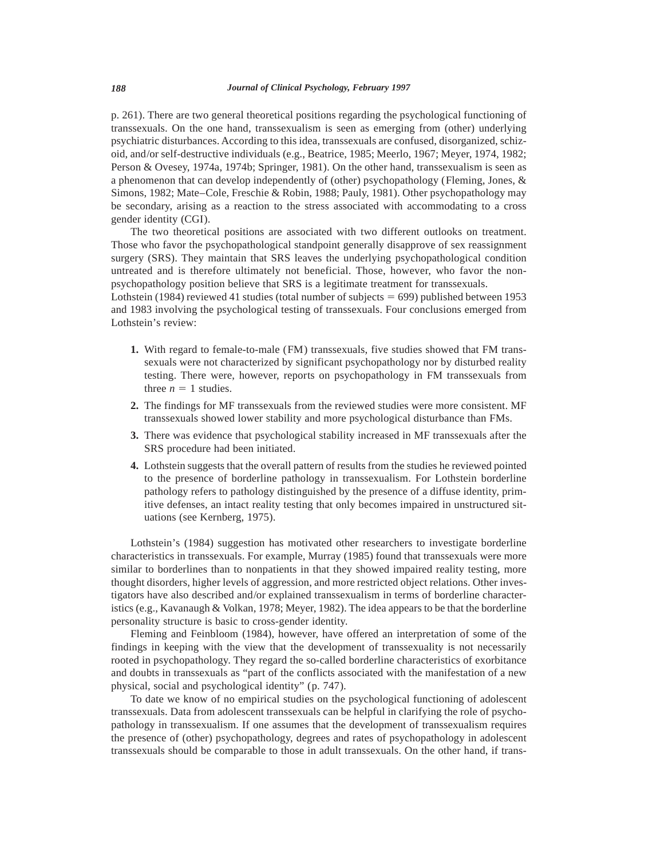p. 261). There are two general theoretical positions regarding the psychological functioning of transsexuals. On the one hand, transsexualism is seen as emerging from (other) underlying psychiatric disturbances. According to this idea, transsexuals are confused, disorganized, schizoid, and/or self-destructive individuals (e.g., Beatrice, 1985; Meerlo, 1967; Meyer, 1974, 1982; Person & Ovesey, 1974a, 1974b; Springer, 1981). On the other hand, transsexualism is seen as a phenomenon that can develop independently of (other) psychopathology (Fleming, Jones, & Simons, 1982; Mate–Cole, Freschie & Robin, 1988; Pauly, 1981). Other psychopathology may be secondary, arising as a reaction to the stress associated with accommodating to a cross gender identity (CGI).

The two theoretical positions are associated with two different outlooks on treatment. Those who favor the psychopathological standpoint generally disapprove of sex reassignment surgery (SRS). They maintain that SRS leaves the underlying psychopathological condition untreated and is therefore ultimately not beneficial. Those, however, who favor the nonpsychopathology position believe that SRS is a legitimate treatment for transsexuals.

Lothstein (1984) reviewed 41 studies (total number of subjects  $= 699$ ) published between 1953 and 1983 involving the psychological testing of transsexuals. Four conclusions emerged from Lothstein's review:

- **1.** With regard to female-to-male (FM) transsexuals, five studies showed that FM transsexuals were not characterized by significant psychopathology nor by disturbed reality testing. There were, however, reports on psychopathology in FM transsexuals from three  $n = 1$  studies.
- **2.** The findings for MF transsexuals from the reviewed studies were more consistent. MF transsexuals showed lower stability and more psychological disturbance than FMs.
- **3.** There was evidence that psychological stability increased in MF transsexuals after the SRS procedure had been initiated.
- **4.** Lothstein suggests that the overall pattern of results from the studies he reviewed pointed to the presence of borderline pathology in transsexualism. For Lothstein borderline pathology refers to pathology distinguished by the presence of a diffuse identity, primitive defenses, an intact reality testing that only becomes impaired in unstructured situations (see Kernberg, 1975).

Lothstein's (1984) suggestion has motivated other researchers to investigate borderline characteristics in transsexuals. For example, Murray (1985) found that transsexuals were more similar to borderlines than to nonpatients in that they showed impaired reality testing, more thought disorders, higher levels of aggression, and more restricted object relations. Other investigators have also described and/or explained transsexualism in terms of borderline characteristics (e.g., Kavanaugh & Volkan, 1978; Meyer, 1982). The idea appears to be that the borderline personality structure is basic to cross-gender identity.

Fleming and Feinbloom (1984), however, have offered an interpretation of some of the findings in keeping with the view that the development of transsexuality is not necessarily rooted in psychopathology. They regard the so-called borderline characteristics of exorbitance and doubts in transsexuals as "part of the conflicts associated with the manifestation of a new physical, social and psychological identity" (p. 747).

To date we know of no empirical studies on the psychological functioning of adolescent transsexuals. Data from adolescent transsexuals can be helpful in clarifying the role of psychopathology in transsexualism. If one assumes that the development of transsexualism requires the presence of (other) psychopathology, degrees and rates of psychopathology in adolescent transsexuals should be comparable to those in adult transsexuals. On the other hand, if trans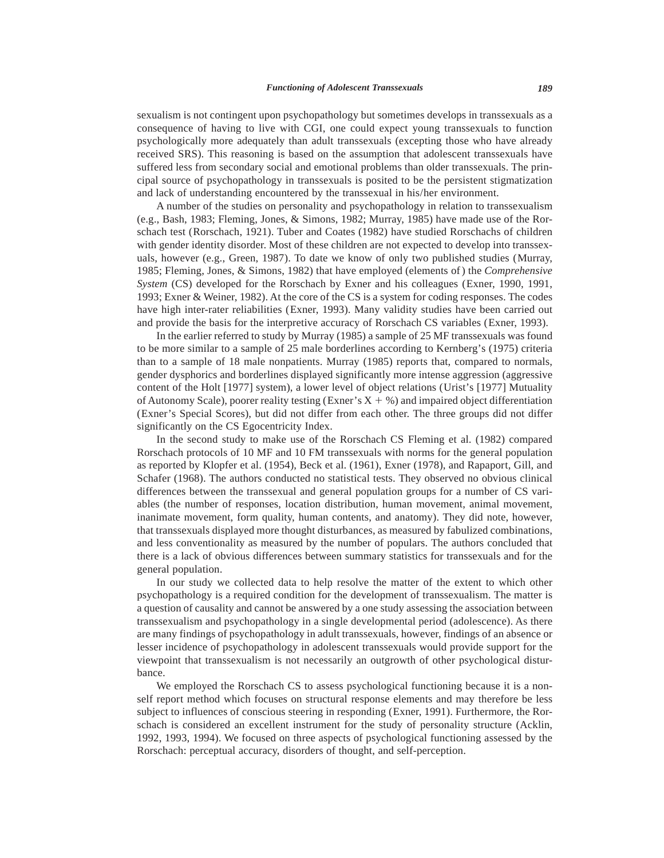sexualism is not contingent upon psychopathology but sometimes develops in transsexuals as a consequence of having to live with CGI, one could expect young transsexuals to function psychologically more adequately than adult transsexuals (excepting those who have already received SRS). This reasoning is based on the assumption that adolescent transsexuals have suffered less from secondary social and emotional problems than older transsexuals. The principal source of psychopathology in transsexuals is posited to be the persistent stigmatization and lack of understanding encountered by the transsexual in his/her environment.

A number of the studies on personality and psychopathology in relation to transsexualism (e.g., Bash, 1983; Fleming, Jones, & Simons, 1982; Murray, 1985) have made use of the Rorschach test (Rorschach, 1921). Tuber and Coates (1982) have studied Rorschachs of children with gender identity disorder. Most of these children are not expected to develop into transsexuals, however (e.g., Green, 1987). To date we know of only two published studies (Murray, 1985; Fleming, Jones, & Simons, 1982) that have employed (elements of ) the *Comprehensive System* (CS) developed for the Rorschach by Exner and his colleagues (Exner, 1990, 1991, 1993; Exner & Weiner, 1982). At the core of the CS is a system for coding responses. The codes have high inter-rater reliabilities (Exner, 1993). Many validity studies have been carried out and provide the basis for the interpretive accuracy of Rorschach CS variables (Exner, 1993).

In the earlier referred to study by Murray (1985) a sample of 25 MF transsexuals was found to be more similar to a sample of 25 male borderlines according to Kernberg's (1975) criteria than to a sample of 18 male nonpatients. Murray (1985) reports that, compared to normals, gender dysphorics and borderlines displayed significantly more intense aggression (aggressive content of the Holt [1977] system), a lower level of object relations (Urist's [1977] Mutuality of Autonomy Scale), poorer reality testing (Exner's  $X + \%$ ) and impaired object differentiation (Exner's Special Scores), but did not differ from each other. The three groups did not differ significantly on the CS Egocentricity Index.

In the second study to make use of the Rorschach CS Fleming et al. (1982) compared Rorschach protocols of 10 MF and 10 FM transsexuals with norms for the general population as reported by Klopfer et al. (1954), Beck et al. (1961), Exner (1978), and Rapaport, Gill, and Schafer (1968). The authors conducted no statistical tests. They observed no obvious clinical differences between the transsexual and general population groups for a number of CS variables (the number of responses, location distribution, human movement, animal movement, inanimate movement, form quality, human contents, and anatomy). They did note, however, that transsexuals displayed more thought disturbances, as measured by fabulized combinations, and less conventionality as measured by the number of populars. The authors concluded that there is a lack of obvious differences between summary statistics for transsexuals and for the general population.

In our study we collected data to help resolve the matter of the extent to which other psychopathology is a required condition for the development of transsexualism. The matter is a question of causality and cannot be answered by a one study assessing the association between transsexualism and psychopathology in a single developmental period (adolescence). As there are many findings of psychopathology in adult transsexuals, however, findings of an absence or lesser incidence of psychopathology in adolescent transsexuals would provide support for the viewpoint that transsexualism is not necessarily an outgrowth of other psychological disturbance.

We employed the Rorschach CS to assess psychological functioning because it is a nonself report method which focuses on structural response elements and may therefore be less subject to influences of conscious steering in responding (Exner, 1991). Furthermore, the Rorschach is considered an excellent instrument for the study of personality structure (Acklin, 1992, 1993, 1994). We focused on three aspects of psychological functioning assessed by the Rorschach: perceptual accuracy, disorders of thought, and self-perception.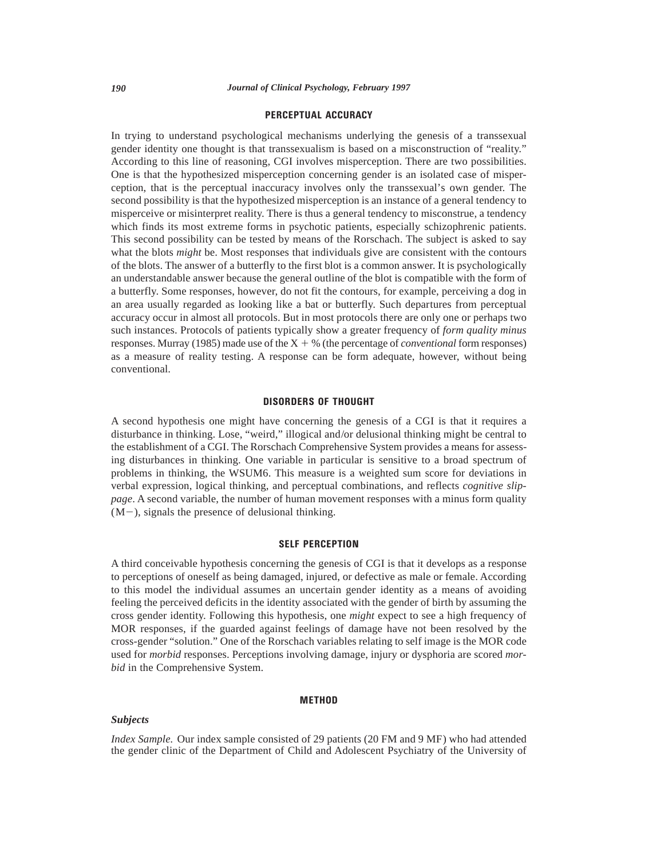# **PERCEPTUAL ACCURACY**

In trying to understand psychological mechanisms underlying the genesis of a transsexual gender identity one thought is that transsexualism is based on a misconstruction of "reality." According to this line of reasoning, CGI involves misperception. There are two possibilities. One is that the hypothesized misperception concerning gender is an isolated case of misperception, that is the perceptual inaccuracy involves only the transsexual's own gender. The second possibility is that the hypothesized misperception is an instance of a general tendency to misperceive or misinterpret reality. There is thus a general tendency to misconstrue, a tendency which finds its most extreme forms in psychotic patients, especially schizophrenic patients. This second possibility can be tested by means of the Rorschach. The subject is asked to say what the blots *might* be. Most responses that individuals give are consistent with the contours of the blots. The answer of a butterfly to the first blot is a common answer. It is psychologically an understandable answer because the general outline of the blot is compatible with the form of a butterfly. Some responses, however, do not fit the contours, for example, perceiving a dog in an area usually regarded as looking like a bat or butterfly. Such departures from perceptual accuracy occur in almost all protocols. But in most protocols there are only one or perhaps two such instances. Protocols of patients typically show a greater frequency of *form quality minus* responses. Murray (1985) made use of the  $X + \%$  (the percentage of *conventional* form responses) as a measure of reality testing. A response can be form adequate, however, without being conventional.

### **DISORDERS OF THOUGHT**

A second hypothesis one might have concerning the genesis of a CGI is that it requires a disturbance in thinking. Lose, "weird," illogical and/or delusional thinking might be central to the establishment of a CGI. The Rorschach Comprehensive System provides a means for assessing disturbances in thinking. One variable in particular is sensitive to a broad spectrum of problems in thinking, the WSUM6. This measure is a weighted sum score for deviations in verbal expression, logical thinking, and perceptual combinations, and reflects *cognitive slippage*. A second variable, the number of human movement responses with a minus form quality  $(M-)$ , signals the presence of delusional thinking.

## **SELF PERCEPTION**

A third conceivable hypothesis concerning the genesis of CGI is that it develops as a response to perceptions of oneself as being damaged, injured, or defective as male or female. According to this model the individual assumes an uncertain gender identity as a means of avoiding feeling the perceived deficits in the identity associated with the gender of birth by assuming the cross gender identity. Following this hypothesis, one *might* expect to see a high frequency of MOR responses, if the guarded against feelings of damage have not been resolved by the cross-gender "solution." One of the Rorschach variables relating to self image is the MOR code used for *morbid* responses. Perceptions involving damage, injury or dysphoria are scored *morbid* in the Comprehensive System.

#### **METHOD**

#### *Subjects*

*Index Sample.* Our index sample consisted of 29 patients (20 FM and 9 MF) who had attended the gender clinic of the Department of Child and Adolescent Psychiatry of the University of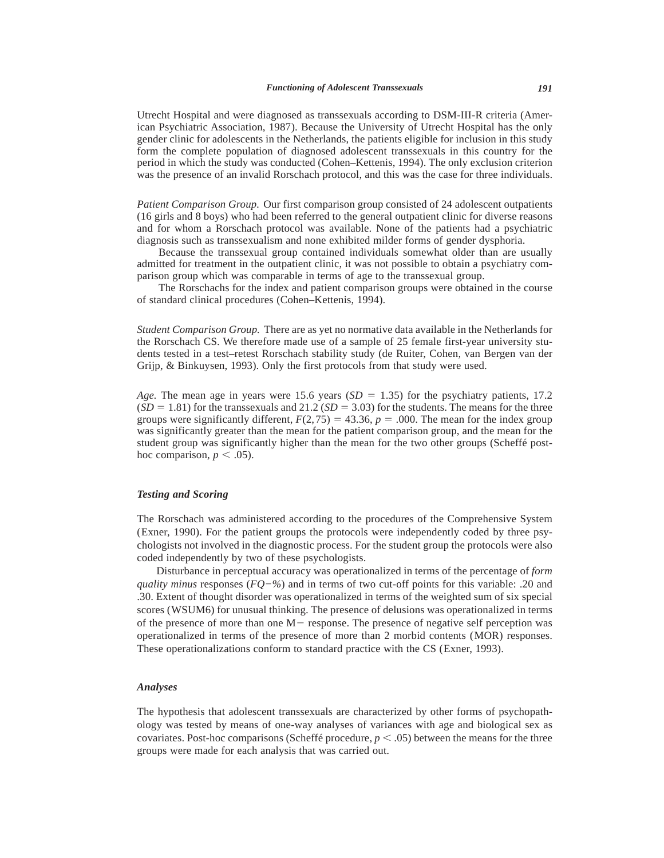Utrecht Hospital and were diagnosed as transsexuals according to DSM-III-R criteria (American Psychiatric Association, 1987). Because the University of Utrecht Hospital has the only gender clinic for adolescents in the Netherlands, the patients eligible for inclusion in this study form the complete population of diagnosed adolescent transsexuals in this country for the period in which the study was conducted (Cohen–Kettenis, 1994). The only exclusion criterion was the presence of an invalid Rorschach protocol, and this was the case for three individuals.

*Patient Comparison Group.* Our first comparison group consisted of 24 adolescent outpatients (16 girls and 8 boys) who had been referred to the general outpatient clinic for diverse reasons and for whom a Rorschach protocol was available. None of the patients had a psychiatric diagnosis such as transsexualism and none exhibited milder forms of gender dysphoria.

Because the transsexual group contained individuals somewhat older than are usually admitted for treatment in the outpatient clinic, it was not possible to obtain a psychiatry comparison group which was comparable in terms of age to the transsexual group.

The Rorschachs for the index and patient comparison groups were obtained in the course of standard clinical procedures (Cohen–Kettenis, 1994).

*Student Comparison Group.* There are as yet no normative data available in the Netherlands for the Rorschach CS. We therefore made use of a sample of 25 female first-year university students tested in a test–retest Rorschach stability study (de Ruiter, Cohen, van Bergen van der Grijp, & Binkuysen, 1993). Only the first protocols from that study were used.

*Age.* The mean age in years were 15.6 years ( $SD = 1.35$ ) for the psychiatry patients, 17.2  $(SD = 1.81)$  for the transsexuals and 21.2  $(SD = 3.03)$  for the students. The means for the three groups were significantly different,  $F(2,75) = 43.36$ ,  $p = .000$ . The mean for the index group was significantly greater than the mean for the patient comparison group, and the mean for the student group was significantly higher than the mean for the two other groups (Scheffé posthoc comparison,  $p < .05$ ).

# *Testing and Scoring*

The Rorschach was administered according to the procedures of the Comprehensive System (Exner, 1990). For the patient groups the protocols were independently coded by three psychologists not involved in the diagnostic process. For the student group the protocols were also coded independently by two of these psychologists.

Disturbance in perceptual accuracy was operationalized in terms of the percentage of *form quality minus* responses (*FQ−%*) and in terms of two cut-off points for this variable: .20 and .30. Extent of thought disorder was operationalized in terms of the weighted sum of six special scores (WSUM6) for unusual thinking. The presence of delusions was operationalized in terms of the presence of more than one  $M-$  response. The presence of negative self perception was operationalized in terms of the presence of more than 2 morbid contents (MOR) responses. These operationalizations conform to standard practice with the CS (Exner, 1993).

#### *Analyses*

The hypothesis that adolescent transsexuals are characterized by other forms of psychopathology was tested by means of one-way analyses of variances with age and biological sex as covariates. Post-hoc comparisons (Scheffé procedure,  $p < .05$ ) between the means for the three groups were made for each analysis that was carried out.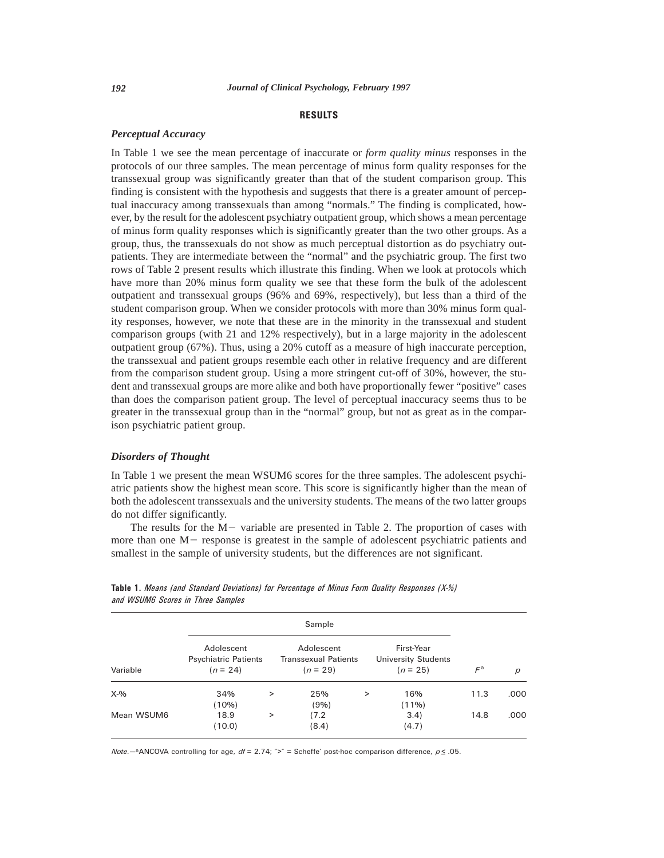# **RESULTS**

#### *Perceptual Accuracy*

In Table 1 we see the mean percentage of inaccurate or *form quality minus* responses in the protocols of our three samples. The mean percentage of minus form quality responses for the transsexual group was significantly greater than that of the student comparison group. This finding is consistent with the hypothesis and suggests that there is a greater amount of perceptual inaccuracy among transsexuals than among "normals." The finding is complicated, however, by the result for the adolescent psychiatry outpatient group, which shows a mean percentage of minus form quality responses which is significantly greater than the two other groups. As a group, thus, the transsexuals do not show as much perceptual distortion as do psychiatry outpatients. They are intermediate between the "normal" and the psychiatric group. The first two rows of Table 2 present results which illustrate this finding. When we look at protocols which have more than 20% minus form quality we see that these form the bulk of the adolescent outpatient and transsexual groups (96% and 69%, respectively), but less than a third of the student comparison group. When we consider protocols with more than 30% minus form quality responses, however, we note that these are in the minority in the transsexual and student comparison groups (with 21 and 12% respectively), but in a large majority in the adolescent outpatient group (67%). Thus, using a 20% cutoff as a measure of high inaccurate perception, the transsexual and patient groups resemble each other in relative frequency and are different from the comparison student group. Using a more stringent cut-off of 30%, however, the student and transsexual groups are more alike and both have proportionally fewer "positive" cases than does the comparison patient group. The level of perceptual inaccuracy seems thus to be greater in the transsexual group than in the "normal" group, but not as great as in the comparison psychiatric patient group.

#### *Disorders of Thought*

In Table 1 we present the mean WSUM6 scores for the three samples. The adolescent psychiatric patients show the highest mean score. This score is significantly higher than the mean of both the adolescent transsexuals and the university students. The means of the two latter groups do not differ significantly.

The results for the  $M-$  variable are presented in Table 2. The proportion of cases with more than one  $M-$  response is greatest in the sample of adolescent psychiatric patients and smallest in the sample of university students, but the differences are not significant.

| Variable   |                                                         |        |                                                         |       |                                                        |                            |      |
|------------|---------------------------------------------------------|--------|---------------------------------------------------------|-------|--------------------------------------------------------|----------------------------|------|
|            | Adolescent<br><b>Psychiatric Patients</b><br>$(n = 24)$ |        | Adolescent<br><b>Transsexual Patients</b><br>$(n = 29)$ |       | First-Year<br><b>University Students</b><br>$(n = 25)$ | $\mathcal{F}^{\mathsf{a}}$ | р    |
| $X-9/6$    | 34%<br>$(10\%)$                                         | $\,>$  | 25%<br>(9%)                                             | $\,>$ | 16%<br>$(11\%)$                                        | 11.3                       | .000 |
| Mean WSUM6 | 18.9<br>(10.0)                                          | $\geq$ | (7.2)<br>(8.4)                                          |       | 3.4)<br>(4.7)                                          | 14.8                       | .000 |

**Table 1.** *Means (and Standard Deviations) for Percentage of Minus Form Quality Responses (X-%) and WSUM6 Scores in Three Samples*

*Note.*—<sup>a</sup>ANCOVA controlling for age,  $df = 2.74$ ; ">" = Scheffe' post-hoc comparison difference,  $p \le 0.05$ .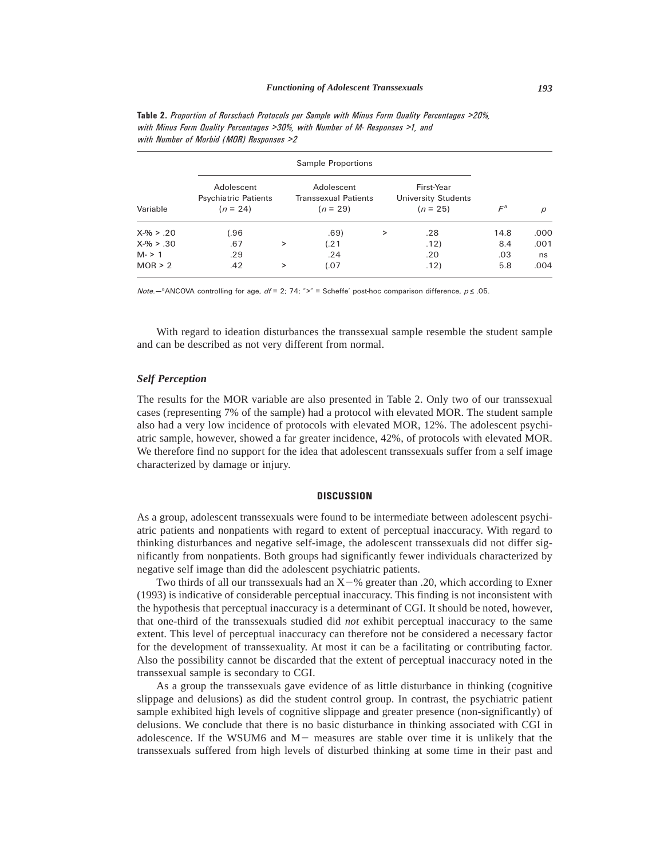| Variable     | Adolescent<br><b>Psychiatric Patients</b><br>$(n = 24)$ |   | Adolescent<br><b>Transsexual Patients</b><br>$(n = 29)$ |   | First-Year<br>University Students<br>$(n = 25)$ | $\mathcal{F}^{\mathsf{a}}$ | р    |
|--------------|---------------------------------------------------------|---|---------------------------------------------------------|---|-------------------------------------------------|----------------------------|------|
| $X-% > .20$  | 1.96                                                    |   | .69)                                                    | > | .28                                             | 14.8                       | .000 |
| $X-96 > .30$ | .67                                                     | > | (.21)                                                   |   | .12)                                            | 8.4                        | .001 |
| $M - 21$     | .29                                                     |   | .24                                                     |   | .20                                             | .03                        | ns   |
| MOR > 2      | .42                                                     | > | (.07)                                                   |   | .12)                                            | 5.8                        | .004 |

**Table 2.** *Proportion of Rorschach Protocols per Sample with Minus Form Quality Percentages >20%, with Minus Form Quality Percentages >30%, with Number of M- Responses >1, and with Number of Morbid (MOR) Responses >2*

*Note.*—<sup>a</sup>ANCOVA controlling for age,  $df = 2$ ; 74; ">" = Scheffe' post-hoc comparison difference,  $p \le 0.05$ .

With regard to ideation disturbances the transsexual sample resemble the student sample and can be described as not very different from normal.

### *Self Perception*

The results for the MOR variable are also presented in Table 2. Only two of our transsexual cases (representing 7% of the sample) had a protocol with elevated MOR. The student sample also had a very low incidence of protocols with elevated MOR, 12%. The adolescent psychiatric sample, however, showed a far greater incidence, 42%, of protocols with elevated MOR. We therefore find no support for the idea that adolescent transsexuals suffer from a self image characterized by damage or injury.

#### **DISCUSSION**

As a group, adolescent transsexuals were found to be intermediate between adolescent psychiatric patients and nonpatients with regard to extent of perceptual inaccuracy. With regard to thinking disturbances and negative self-image, the adolescent transsexuals did not differ significantly from nonpatients. Both groups had significantly fewer individuals characterized by negative self image than did the adolescent psychiatric patients.

Two thirds of all our transsexuals had an  $X-\%$  greater than .20, which according to Exner (1993) is indicative of considerable perceptual inaccuracy. This finding is not inconsistent with the hypothesis that perceptual inaccuracy is a determinant of CGI. It should be noted, however, that one-third of the transsexuals studied did *not* exhibit perceptual inaccuracy to the same extent. This level of perceptual inaccuracy can therefore not be considered a necessary factor for the development of transsexuality. At most it can be a facilitating or contributing factor. Also the possibility cannot be discarded that the extent of perceptual inaccuracy noted in the transsexual sample is secondary to CGI.

As a group the transsexuals gave evidence of as little disturbance in thinking (cognitive slippage and delusions) as did the student control group. In contrast, the psychiatric patient sample exhibited high levels of cognitive slippage and greater presence (non-significantly) of delusions. We conclude that there is no basic disturbance in thinking associated with CGI in adolescence. If the WSUM6 and  $M-$  measures are stable over time it is unlikely that the transsexuals suffered from high levels of disturbed thinking at some time in their past and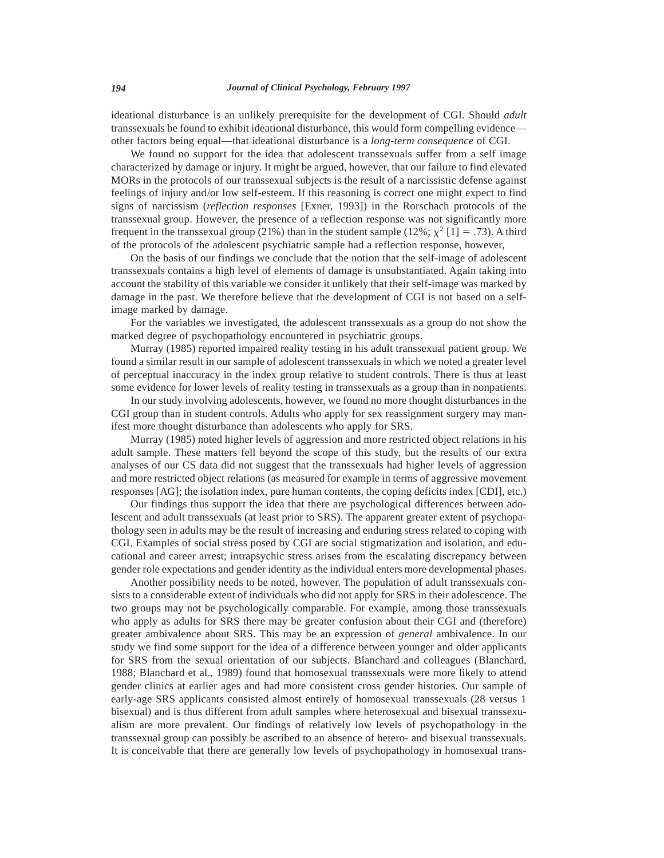ideational disturbance is an unlikely prerequisite for the development of CGI. Should *adult* transsexuals be found to exhibit ideational disturbance, this would form compelling evidence other factors being equal—that ideational disturbance is a *long-term consequence* of CGI.

We found no support for the idea that adolescent transsexuals suffer from a self image characterized by damage or injury. It might be argued, however, that our failure to find elevated MORs in the protocols of our transsexual subjects is the result of a narcissistic defense against feelings of injury and/or low self-esteem. If this reasoning is correct one might expect to find signs of narcissism (*reflection responses* [Exner, 1993]) in the Rorschach protocols of the transsexual group. However, the presence of a reflection response was not significantly more frequent in the transsexual group (21%) than in the student sample (12%;  $\chi^2$  [1] = .73). A third of the protocols of the adolescent psychiatric sample had a reflection response, however,

On the basis of our findings we conclude that the notion that the self-image of adolescent transsexuals contains a high level of elements of damage is unsubstantiated. Again taking into account the stability of this variable we consider it unlikely that their self-image was marked by damage in the past. We therefore believe that the development of CGI is not based on a selfimage marked by damage.

For the variables we investigated, the adolescent transsexuals as a group do not show the marked degree of psychopathology encountered in psychiatric groups.

Murray (1985) reported impaired reality testing in his adult transsexual patient group. We found a similar result in our sample of adolescent transsexuals in which we noted a greater level of perceptual inaccuracy in the index group relative to student controls. There is thus at least some evidence for lower levels of reality testing in transsexuals as a group than in nonpatients.

In our study involving adolescents, however, we found no more thought disturbances in the CGI group than in student controls. Adults who apply for sex reassignment surgery may manifest more thought disturbance than adolescents who apply for SRS.

Murray (1985) noted higher levels of aggression and more restricted object relations in his adult sample. These matters fell beyond the scope of this study, but the results of our extra analyses of our CS data did not suggest that the transsexuals had higher levels of aggression and more restricted object relations (as measured for example in terms of aggressive movement responses [AG]; the isolation index, pure human contents, the coping deficits index [CDI], etc.)

Our findings thus support the idea that there are psychological differences between adolescent and adult transsexuals (at least prior to SRS). The apparent greater extent of psychopathology seen in adults may be the result of increasing and enduring stress related to coping with CGI. Examples of social stress posed by CGI are social stigmatization and isolation, and educational and career arrest; intrapsychic stress arises from the escalating discrepancy between gender role expectations and gender identity as the individual enters more developmental phases.

Another possibility needs to be noted, however. The population of adult transsexuals consists to a considerable extent of individuals who did not apply for SRS in their adolescence. The two groups may not be psychologically comparable. For example, among those transsexuals who apply as adults for SRS there may be greater confusion about their CGI and (therefore) greater ambivalence about SRS. This may be an expression of *general* ambivalence. In our study we find some support for the idea of a difference between younger and older applicants for SRS from the sexual orientation of our subjects. Blanchard and colleagues (Blanchard, 1988; Blanchard et al., 1989) found that homosexual transsexuals were more likely to attend gender clinics at earlier ages and had more consistent cross gender histories. Our sample of early-age SRS applicants consisted almost entirely of homosexual transsexuals (28 versus 1 bisexual) and is thus different from adult samples where heterosexual and bisexual transsexualism are more prevalent. Our findings of relatively low levels of psychopathology in the transsexual group can possibly be ascribed to an absence of hetero- and bisexual transsexuals. It is conceivable that there are generally low levels of psychopathology in homosexual trans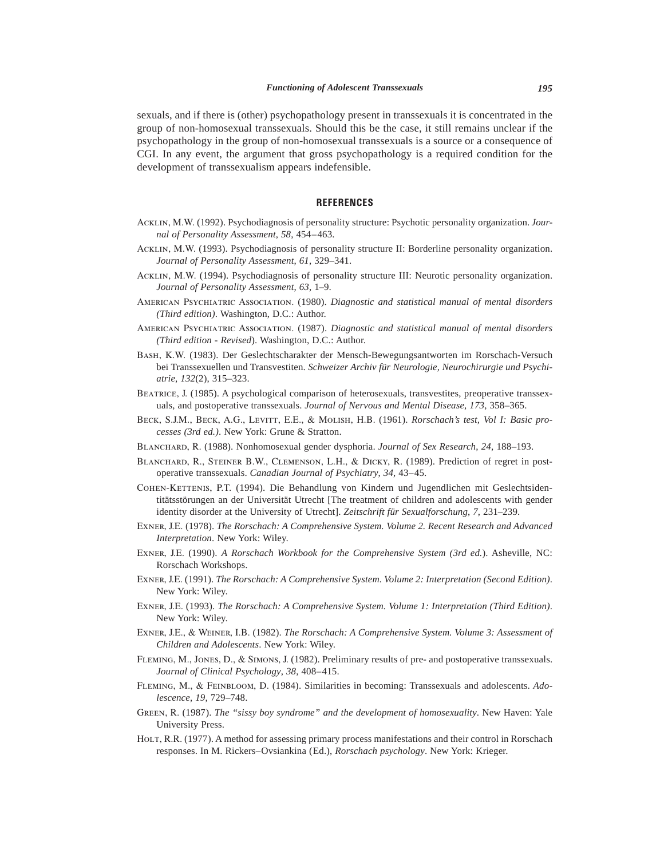sexuals, and if there is (other) psychopathology present in transsexuals it is concentrated in the group of non-homosexual transsexuals. Should this be the case, it still remains unclear if the psychopathology in the group of non-homosexual transsexuals is a source or a consequence of CGI. In any event, the argument that gross psychopathology is a required condition for the development of transsexualism appears indefensible.

#### **REFERENCES**

- Acklin, M.W. (1992). Psychodiagnosis of personality structure: Psychotic personality organization. *Journal of Personality Assessment*, *58*, 454–463.
- Acklin, M.W. (1993). Psychodiagnosis of personality structure II: Borderline personality organization. *Journal of Personality Assessment*, *61*, 329–341.
- Acklin, M.W. (1994). Psychodiagnosis of personality structure III: Neurotic personality organization. *Journal of Personality Assessment*, *63*, 1–9.
- American Psychiatric Association. (1980). *Diagnostic and statistical manual of mental disorders (Third edition)*. Washington, D.C.: Author.
- American Psychiatric Association. (1987). *Diagnostic and statistical manual of mental disorders (Third edition - Revised*). Washington, D.C.: Author.
- Bash, K.W. (1983). Der Geslechtscharakter der Mensch-Bewegungsantworten im Rorschach-Versuch bei Transsexuellen und Transvestiten. *Schweizer Archiv für Neurologie, Neurochirurgie und Psychiatrie*, *132*(2), 315–323.
- Beatrice, J. (1985). A psychological comparison of heterosexuals, transvestites, preoperative transsexuals, and postoperative transsexuals. *Journal of Nervous and Mental Disease*, *173*, 358–365.
- Beck, S.J.M., Beck, A.G., Levitt, E.E., & Molish, H.B. (1961). *Rorschach's test, Vol I: Basic processes (3rd ed.)*. New York: Grune & Stratton.
- Blanchard, R. (1988). Nonhomosexual gender dysphoria. *Journal of Sex Research*, *24*, 188–193.
- BLANCHARD, R., STEINER B.W., CLEMENSON, L.H., & DICKY, R. (1989). Prediction of regret in postoperative transsexuals. *Canadian Journal of Psychiatry*, *34*, 43–45.
- Cohen-Kettenis, P.T. (1994). Die Behandlung von Kindern und Jugendlichen mit Geslechtsidentitätsstörungen an der Universität Utrecht [The treatment of children and adolescents with gender identity disorder at the University of Utrecht]. *Zeitschrift für Sexualforschung*, *7*, 231–239.
- Exner, J.E. (1978). *The Rorschach: A Comprehensive System. Volume 2. Recent Research and Advanced Interpretation*. New York: Wiley.
- Exner, J.E. (1990). *A Rorschach Workbook for the Comprehensive System (3rd ed.*). Asheville, NC: Rorschach Workshops.
- Exner, J.E. (1991). *The Rorschach: A Comprehensive System. Volume 2: Interpretation (Second Edition)*. New York: Wiley.
- Exner, J.E. (1993). *The Rorschach: A Comprehensive System. Volume 1: Interpretation (Third Edition)*. New York: Wiley.
- Exner, J.E., & Weiner, I.B. (1982). *The Rorschach: A Comprehensive System. Volume 3: Assessment of Children and Adolescents*. New York: Wiley.
- Fleming, M., Jones, D., & Simons, J. (1982). Preliminary results of pre- and postoperative transsexuals. *Journal of Clinical Psychology*, *38*, 408–415.
- Fleming, M., & Feinbloom, D. (1984). Similarities in becoming: Transsexuals and adolescents. *Adolescence*, *19*, 729–748.
- Green, R. (1987). *The "sissy boy syndrome" and the development of homosexuality*. New Haven: Yale University Press.
- HOLT, R.R. (1977). A method for assessing primary process manifestations and their control in Rorschach responses. In M. Rickers–Ovsiankina (Ed.), *Rorschach psychology*. New York: Krieger.